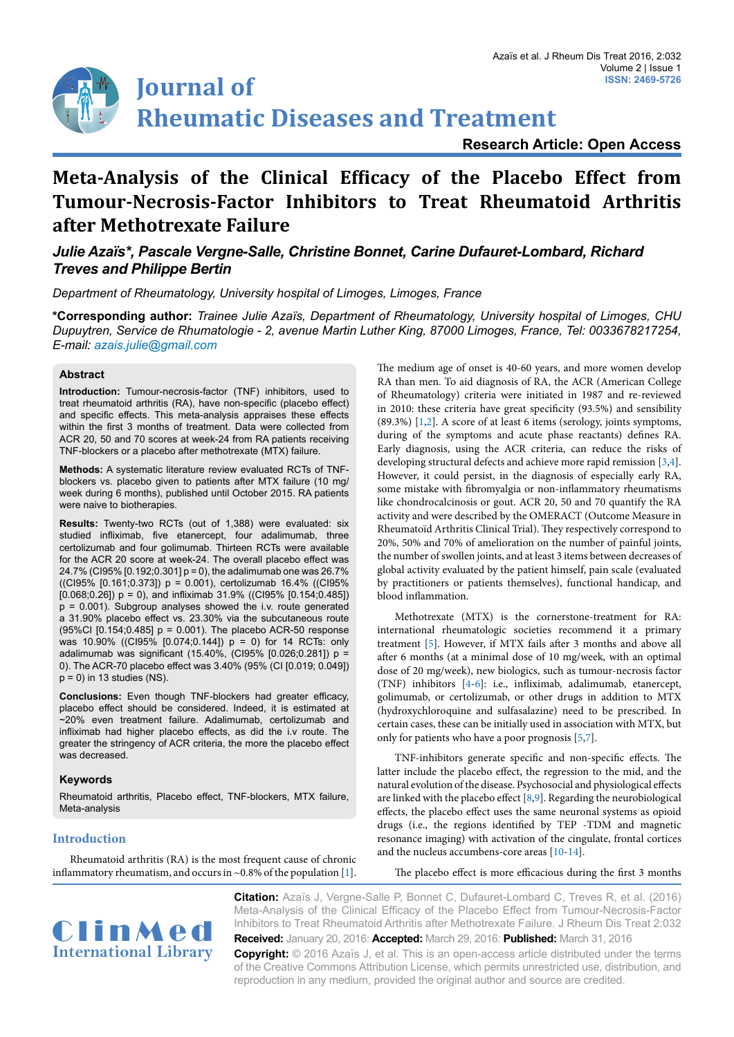

**Research Article: Open Access**

# **Meta-Analysis of the Clinical Efficacy of the Placebo Effect from Tumour-Necrosis-Factor Inhibitors to Treat Rheumatoid Arthritis after Methotrexate Failure**

# *Julie Azaïs\*, Pascale Vergne-Salle, Christine Bonnet, Carine Dufauret-Lombard, Richard Treves and Philippe Bertin*

*Department of Rheumatology, University hospital of Limoges, Limoges, France*

**\*Corresponding author:** *Trainee Julie Azaïs, Department of Rheumatology, University hospital of Limoges, CHU Dupuytren, Service de Rhumatologie - 2, avenue Martin Luther King, 87000 Limoges, France, Tel: 0033678217254, E-mail: azais.julie@gmail.com*

# **Abstract**

**Introduction:** Tumour-necrosis-factor (TNF) inhibitors, used to treat rheumatoid arthritis (RA), have non-specific (placebo effect) and specific effects. This meta-analysis appraises these effects within the first 3 months of treatment. Data were collected from ACR 20, 50 and 70 scores at week-24 from RA patients receiving TNF-blockers or a placebo after methotrexate (MTX) failure.

**Methods:** A systematic literature review evaluated RCTs of TNFblockers vs. placebo given to patients after MTX failure (10 mg/ week during 6 months), published until October 2015. RA patients were naive to biotherapies.

**Results:** Twenty-two RCTs (out of 1,388) were evaluated: six studied infliximab, five etanercept, four adalimumab, three certolizumab and four golimumab. Thirteen RCTs were available for the ACR 20 score at week-24. The overall placebo effect was 24.7% (CI95% [0.192;0.301] p = 0), the adalimumab one was 26.7% ((CI95% [0.161;0.373]) p = 0.001), certolizumab 16.4% ((CI95%  $[0.068; 0.26]$ )  $p = 0$ ), and infliximab 31.9% ((Cl95%  $[0.154; 0.485]$ ) p = 0.001). Subgroup analyses showed the i.v. route generated a 31.90% placebo effect vs. 23.30% via the subcutaneous route (95%CI [0.154;0.485] p = 0.001). The placebo ACR-50 response was 10.90% ((CI95% [0.074;0.144]) p = 0) for 14 RCTs: only adalimumab was significant (15.40%, (CI95% [0.026;0.281]) p = 0). The ACR-70 placebo effect was 3.40% (95% (CI [0.019; 0.049])  $p = 0$ ) in 13 studies (NS).

**Conclusions:** Even though TNF-blockers had greater efficacy, placebo effect should be considered. Indeed, it is estimated at ~20% even treatment failure. Adalimumab, certolizumab and infliximab had higher placebo effects, as did the i.v route. The greater the stringency of ACR criteria, the more the placebo effect was decreased.

## **Keywords**

Rheumatoid arthritis, Placebo effect, TNF-blockers, MTX failure, Meta-analysis

## **Introduction**

Rheumatoid arthritis (RA) is the most frequent cause of chronic inflammatory rheumatism, and occurs in ~0.8% of the population [[1\]](#page-3-0).

The medium age of onset is 40-60 years, and more women develop RA than men. To aid diagnosis of RA, the ACR (American College of Rheumatology) criteria were initiated in 1987 and re-reviewed in 2010: these criteria have great specificity (93.5%) and sensibility (89.3%) [[1](#page-3-0)[,2](#page-3-1)]. A score of at least 6 items (serology, joints symptoms, during of the symptoms and acute phase reactants) defines RA. Early diagnosis, using the ACR criteria, can reduce the risks of developing structural defects and achieve more rapid remission [[3](#page-3-2)[,4\]](#page-3-3). However, it could persist, in the diagnosis of especially early RA, some mistake with fibromyalgia or non-inflammatory rheumatisms like chondrocalcinosis or gout. ACR 20, 50 and 70 quantify the RA activity and were described by the OMERACT (Outcome Measure in Rheumatoïd Arthritis Clinical Trial). They respectively correspond to 20%, 50% and 70% of amelioration on the number of painful joints, the number of swollen joints, and at least 3 items between decreases of global activity evaluated by the patient himself, pain scale (evaluated by practitioners or patients themselves), functional handicap, and blood inflammation.

Methotrexate (MTX) is the cornerstone-treatment for RA: international rheumatologic societies recommend it a primary treatment [[5\]](#page-3-4). However, if MTX fails after 3 months and above all after 6 months (at a minimal dose of 10 mg/week, with an optimal dose of 20 mg/week), new biologics, such as tumour-necrosis factor (TNF) inhibitors [[4](#page-3-3)[-6\]](#page-3-5): i.e., infliximab, adalimumab, etanercept, golimumab, or certolizumab, or other drugs in addition to MTX (hydroxychloroquine and sulfasalazine) need to be prescribed. In certain cases, these can be initially used in association with MTX, but only for patients who have a poor prognosis [[5,](#page-3-4)[7](#page-3-6)].

TNF-inhibitors generate specific and non-specific effects. The latter include the placebo effect, the regression to the mid, and the natural evolution of the disease. Psychosocial and physiological effects are linked with the placebo effect  $[8,9]$  $[8,9]$ . Regarding the neurobiological effects, the placebo effect uses the same neuronal systems as opioid drugs (i.e., the regions identified by TEP -TDM and magnetic resonance imaging) with activation of the cingulate, frontal cortices and the nucleus accumbens-core areas [[10](#page-4-1)-[14](#page-4-2)].

The placebo effect is more efficacious during the first 3 months



**Citation:** Azaïs J, Vergne-Salle P, Bonnet C, Dufauret-Lombard C, Treves R, et al. (2016) Meta-Analysis of the Clinical Efficacy of the Placebo Effect from Tumour-Necrosis-Factor Inhibitors to Treat Rheumatoid Arthritis after Methotrexate Failure. J Rheum Dis Treat 2:032 **Received:** January 20, 2016: **Accepted:** March 29, 2016: **Published:** March 31, 2016

**Copyright:** © 2016 Azaïs J, et al. This is an open-access article distributed under the terms of the Creative Commons Attribution License, which permits unrestricted use, distribution, and reproduction in any medium, provided the original author and source are credited.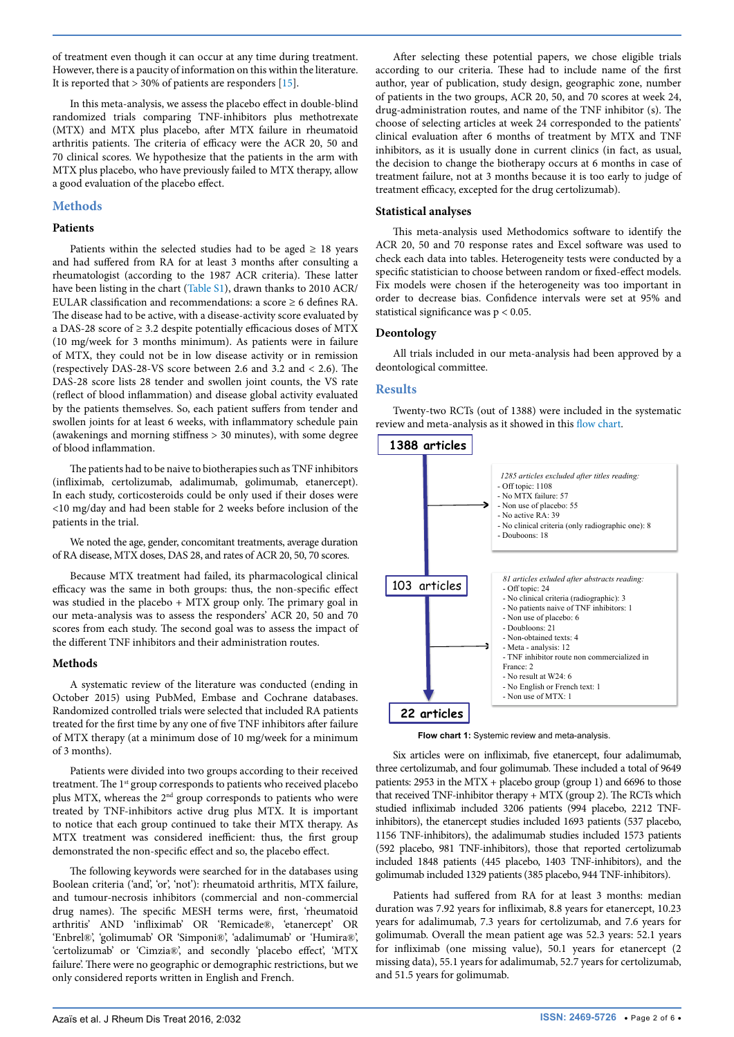of treatment even though it can occur at any time during treatment. However, there is a paucity of information on this within the literature. It is reported that > 30% of patients are responders [[15](#page-4-3)].

In this meta-analysis, we assess the placebo effect in double-blind randomized trials comparing TNF-inhibitors plus methotrexate (MTX) and MTX plus placebo, after MTX failure in rheumatoid arthritis patients. The criteria of efficacy were the ACR 20, 50 and 70 clinical scores. We hypothesize that the patients in the arm with MTX plus placebo, who have previously failed to MTX therapy, allow a good evaluation of the placebo effect.

# **Methods**

#### **Patients**

Patients within the selected studies had to be aged  $\geq$  18 years and had suffered from RA for at least 3 months after consulting a rheumatologist (according to the 1987 ACR criteria). These latter have been listing in the chart [\(Table S1](#page-5-0)), drawn thanks to 2010 ACR/ EULAR classification and recommendations: a score  $\geq$  6 defines RA. The disease had to be active, with a disease-activity score evaluated by a DAS-28 score of ≥ 3.2 despite potentially efficacious doses of MTX (10 mg/week for 3 months minimum). As patients were in failure of MTX, they could not be in low disease activity or in remission (respectively DAS-28-VS score between 2.6 and 3.2 and < 2.6). The DAS-28 score lists 28 tender and swollen joint counts, the VS rate (reflect of blood inflammation) and disease global activity evaluated by the patients themselves. So, each patient suffers from tender and swollen joints for at least 6 weeks, with inflammatory schedule pain (awakenings and morning stiffness > 30 minutes), with some degree of blood inflammation.

The patients had to be naive to biotherapies such as TNF inhibitors (infliximab, certolizumab, adalimumab, golimumab, etanercept). In each study, corticosteroids could be only used if their doses were <10 mg/day and had been stable for 2 weeks before inclusion of the patients in the trial.

We noted the age, gender, concomitant treatments, average duration of RA disease, MTX doses, DAS 28, and rates of ACR 20, 50, 70 scores.

Because MTX treatment had failed, its pharmacological clinical efficacy was the same in both groups: thus, the non-specific effect was studied in the placebo + MTX group only. The primary goal in our meta-analysis was to assess the responders' ACR 20, 50 and 70 scores from each study. The second goal was to assess the impact of the different TNF inhibitors and their administration routes.

## **Methods**

A systematic review of the literature was conducted (ending in October 2015) using PubMed, Embase and Cochrane databases. Randomized controlled trials were selected that included RA patients treated for the first time by any one of five TNF inhibitors after failure of MTX therapy (at a minimum dose of 10 mg/week for a minimum of 3 months).

Patients were divided into two groups according to their received treatment. The 1<sup>st</sup> group corresponds to patients who received placebo plus MTX, whereas the 2<sup>nd</sup> group corresponds to patients who were treated by TNF-inhibitors active drug plus MTX. It is important to notice that each group continued to take their MTX therapy. As MTX treatment was considered inefficient: thus, the first group demonstrated the non-specific effect and so, the placebo effect.

The following keywords were searched for in the databases using Boolean criteria ('and', 'or', 'not'): rheumatoid arthritis, MTX failure, and tumour-necrosis inhibitors (commercial and non-commercial drug names). The specific MESH terms were, first, 'rheumatoid arthritis' AND 'infliximab' OR 'Remicade®, 'etanercept' OR 'Enbrel®', 'golimumab' OR 'Simponi®', 'adalimumab' or 'Humira®', 'certolizumab' or 'Cimzia®', and secondly 'placebo effect', 'MTX failure'. There were no geographic or demographic restrictions, but we only considered reports written in English and French.

After selecting these potential papers, we chose eligible trials according to our criteria. These had to include name of the first author, year of publication, study design, geographic zone, number of patients in the two groups, ACR 20, 50, and 70 scores at week 24, drug-administration routes, and name of the TNF inhibitor (s). The choose of selecting articles at week 24 corresponded to the patients' clinical evaluation after 6 months of treatment by MTX and TNF inhibitors, as it is usually done in current clinics (in fact, as usual, the decision to change the biotherapy occurs at 6 months in case of treatment failure, not at 3 months because it is too early to judge of treatment efficacy, excepted for the drug certolizumab).

#### **Statistical analyses**

This meta-analysis used Methodomics software to identify the ACR 20, 50 and 70 response rates and Excel software was used to check each data into tables. Heterogeneity tests were conducted by a specific statistician to choose between random or fixed-effect models. Fix models were chosen if the heterogeneity was too important in order to decrease bias. Confidence intervals were set at 95% and statistical significance was p < 0.05.

## **Deontology**

All trials included in our meta-analysis had been approved by a deontological committee.

#### **Results**

Twenty-two RCTs (out of 1388) were included in the systematic review and meta-analysis as it showed in this [flow chart.](#page-1-0)

<span id="page-1-0"></span>

**Flow chart 1:** Systemic review and meta-analysis.

Six articles were on infliximab, five etanercept, four adalimumab, three certolizumab, and four golimumab. These included a total of 9649 patients: 2953 in the MTX + placebo group (group 1) and 6696 to those that received TNF-inhibitor therapy + MTX (group 2). The RCTs which studied infliximab included 3206 patients (994 placebo, 2212 TNFinhibitors), the etanercept studies included 1693 patients (537 placebo, 1156 TNF-inhibitors), the adalimumab studies included 1573 patients (592 placebo, 981 TNF-inhibitors), those that reported certolizumab included 1848 patients (445 placebo, 1403 TNF-inhibitors), and the golimumab included 1329 patients (385 placebo, 944 TNF-inhibitors).

Patients had suffered from RA for at least 3 months: median duration was 7.92 years for infliximab, 8.8 years for etanercept, 10.23 years for adalimumab, 7.3 years for certolizumab, and 7.6 years for golimumab. Overall the mean patient age was 52.3 years: 52.1 years for infliximab (one missing value), 50.1 years for etanercept (2 missing data), 55.1 years for adalimumab, 52.7 years for certolizumab, and 51.5 years for golimumab.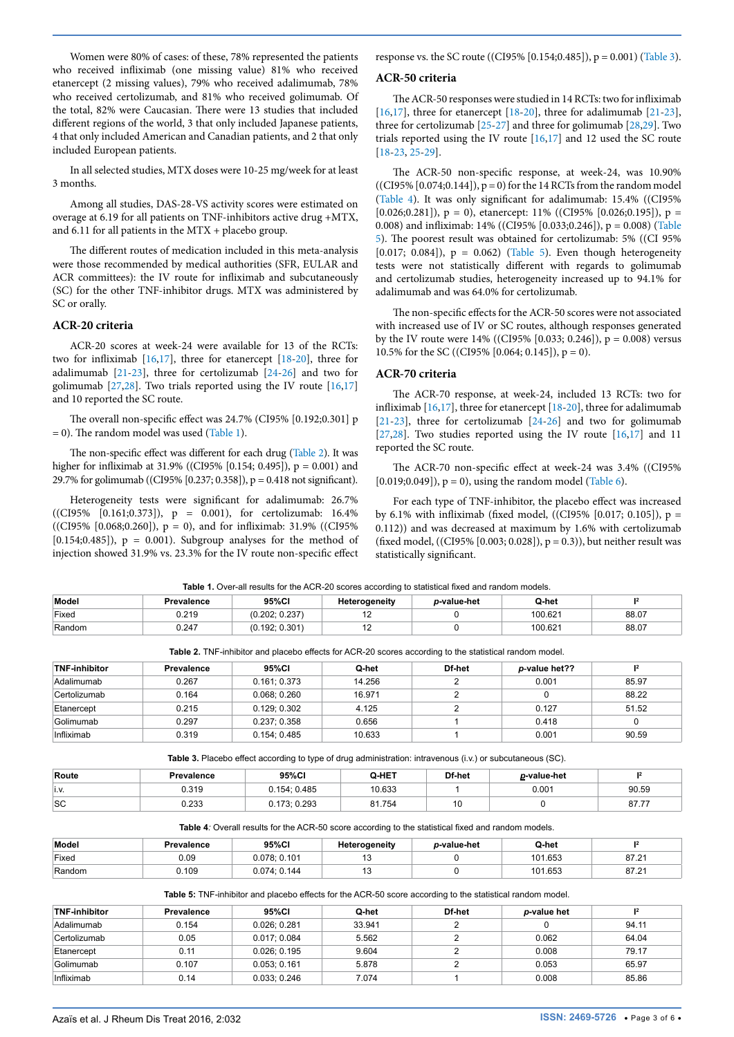Women were 80% of cases: of these, 78% represented the patients who received infliximab (one missing value) 81% who received etanercept (2 missing values), 79% who received adalimumab, 78% who received certolizumab, and 81% who received golimumab. Of the total, 82% were Caucasian. There were 13 studies that included different regions of the world, 3 that only included Japanese patients, 4 that only included American and Canadian patients, and 2 that only included European patients.

In all selected studies, MTX doses were 10-25 mg/week for at least 3 months.

Among all studies, DAS-28-VS activity scores were estimated on overage at 6.19 for all patients on TNF-inhibitors active drug +MTX, and 6.11 for all patients in the  $MTX$  + placebo group.

The different routes of medication included in this meta-analysis were those recommended by medical authorities (SFR, EULAR and ACR committees): the IV route for infliximab and subcutaneously (SC) for the other TNF-inhibitor drugs. MTX was administered by SC or orally.

#### **ACR-20 criteria**

ACR-20 scores at week-24 were available for 13 of the RCTs: two for infliximab [\[16,](#page-4-4)[17\]](#page-4-5), three for etanercept [\[18-](#page-4-6)[20\]](#page-4-7), three for adalimumab [\[21-](#page-4-8)[23\]](#page-4-9), three for certolizumab [[24-](#page-4-10)[26](#page-4-11)] and two for golimumab [\[27,](#page-4-12)[28](#page-4-13)]. Two trials reported using the IV route [\[16,](#page-4-4)[17](#page-4-5)] and 10 reported the SC route.

The overall non-specific effect was 24.7% (CI95% [0.192;0.301] p  $= 0$ ). The random model was used ([Table 1](#page-2-0)).

The non-specific effect was different for each drug ([Table 2\)](#page-2-1). It was higher for infliximab at 31.9% ((CI95% [0.154; 0.495]),  $p = 0.001$ ) and 29.7% for golimumab ((CI95% [0.237; 0.358]), p = 0.418 not significant).

Heterogeneity tests were significant for adalimumab: 26.7%  $((CI95\% \ [0.161;0.373]), \ p = 0.001), \text{ for certain values: } 16.4\%$ ((CI95% [0.068;0.260]), p = 0), and for infliximab: 31.9% ((CI95% [ $0.154;0.485$ ]),  $p = 0.001$ ). Subgroup analyses for the method of injection showed 31.9% vs. 23.3% for the IV route non-specific effect response vs. the SC route ((CI95% [0.154;0.485]), p = 0.001) [\(Table 3\)](#page-2-2).

#### **ACR-50 criteria**

The ACR-50 responses were studied in 14 RCTs: two for infliximab [[16](#page-4-4),[17](#page-4-5)], three for etanercept [\[18-](#page-3-7)[20](#page-4-7)], three for adalimumab [\[21-](#page-4-8)[23\]](#page-4-9), three for certolizumab [\[25-](#page-4-14)[27\]](#page-4-12) and three for golimumab [[28](#page-4-13)[,29](#page-4-15)]. Two trials reported using the IV route [[16](#page-4-4)[,17\]](#page-4-5) and 12 used the SC route [[18](#page-4-6)-[23](#page-4-9), [25](#page-4-14)[-29\]](#page-4-15).

The ACR-50 non-specific response, at week-24, was 10.90%  $((CI95\% [0.074;0.144]), p = 0)$  for the 14 RCTs from the random model ([Table 4](#page-2-3)). It was only significant for adalimumab: 15.4% ((CI95% [0.026;0.281]),  $p = 0$ ), etanercept: 11% ((CI95% [0.026;0.195]),  $p =$ 0.008) and infliximab: 14% ((CI95% [0.033;0.246]), p = 0.008) ([Table](#page-2-4)  [5](#page-2-4)). The poorest result was obtained for certolizumab: 5% ((CI 95% [0.017; 0.084]),  $p = 0.062$ ) [\(Table 5](#page-2-4)). Even though heterogeneity tests were not statistically different with regards to golimumab and certolizumab studies, heterogeneity increased up to 94.1% for adalimumab and was 64.0% for certolizumab.

The non-specific effects for the ACR-50 scores were not associated with increased use of IV or SC routes, although responses generated by the IV route were 14% ((CI95% [0.033; 0.246]),  $p = 0.008$ ) versus 10.5% for the SC ((CI95% [0.064; 0.145]), p = 0).

# **ACR-70 criteria**

The ACR-70 response, at week-24, included 13 RCTs: two for infliximab [[16](#page-4-4)[,17\]](#page-4-5), three for etanercept [[18](#page-4-6)-[20](#page-4-7)], three for adalimumab [[21](#page-4-8)-[23](#page-4-9)], three for certolizumab [[24](#page-4-10)-[26](#page-4-11)] and two for golimumab [[27](#page-4-12),[28](#page-4-13)]. Two studies reported using the IV route  $[16,17]$  $[16,17]$  $[16,17]$  $[16,17]$  and 11 reported the SC route.

The ACR-70 non-specific effect at week-24 was 3.4% ((CI95%  $[0.019; 0.049]$ ,  $p = 0$ , using the random model [\(Table 6\)](#page-3-8).

For each type of TNF-inhibitor, the placebo effect was increased by 6.1% with infliximab (fixed model, ((CI95% [0.017; 0.105]),  $p =$ 0.112)) and was decreased at maximum by 1.6% with certolizumab (fixed model, ((CI95% [0.003; 0.028]),  $p = 0.3$ )), but neither result was statistically significant.

<span id="page-2-0"></span>

| Table 1. Over-all results for the ACR-20 scores according to statistical fixed and random models. |
|---------------------------------------------------------------------------------------------------|
|---------------------------------------------------------------------------------------------------|

| Model  | <b>Prevalence</b> | 95%Cl                    | Heterogeneity | <i>p</i> -value-het | Q-het   |       |
|--------|-------------------|--------------------------|---------------|---------------------|---------|-------|
| Fixed  | 0.219             | 0.027<br>(0.202)<br>∪.∠J | . .           |                     | 100.621 | 88.07 |
| Random | 0.247             | : 0.301<br>.0.192:       | . <u>.</u>    |                     | 100.621 | 88.07 |

<span id="page-2-1"></span>**Table 2.** TNF-inhibitor and placebo effects for ACR-20 scores according to the statistical random model.

| <b>TNF-inhibitor</b> | Prevalence | 95%CI        | Q-het  | Df-het | p-value het?? | 12    |
|----------------------|------------|--------------|--------|--------|---------------|-------|
| Adalimumab           | 0.267      | 0.161:0.373  | 14.256 |        | 0.001         | 85.97 |
| Certolizumab         | 0.164      | 0.068:0.260  | 16.971 |        |               | 88.22 |
| Etanercept           | 0.215      | 0.129:0.302  | 4.125  |        | 0.127         | 51.52 |
| Golimumab            | 0.297      | 0.237; 0.358 | 0.656  |        | 0.418         |       |
| Infliximab           | 0.319      | 0.154:0.485  | 10.633 |        | 0.001         | 90.59 |

<span id="page-2-2"></span>**Table 3.** Placebo effect according to type of drug administration: intravenous (i.v.) or subcutaneous (SC).

| Route     | Prevalence    | 95%CI        | Q-HET  | Df-het | <i>p</i> -value-het |                 |
|-----------|---------------|--------------|--------|--------|---------------------|-----------------|
| 1.9.      | 0.319         | 0.154: 0.485 | 10.633 |        | 0.001               | 90.59           |
| <b>SC</b> | ר בר<br>∪.∠ວວ | .173: 0.293  | 81.754 | יי     |                     | 07.77<br>O/I.1. |

<span id="page-2-3"></span>**Table 4***:* Overall results for the ACR-50 score according to the statistical fixed and random models.

| Model  | Prevalence | 95%CI        | Heterogeneity | <i>p-</i> value-het | Q-het   |       |
|--------|------------|--------------|---------------|---------------------|---------|-------|
| Fixed  | ა.09       | 0.078: 0.101 |               |                     | 101.653 | 87.21 |
| Random | J.109      | 0.074: 0.144 | $\cdot$       |                     | 101.653 | 87.21 |
|        |            |              |               |                     |         |       |

<span id="page-2-4"></span>**Table 5:** TNF-inhibitor and placebo effects for the ACR-50 score according to the statistical random model.

| <b>TNF-inhibitor</b> | Prevalence | 95%CI       | Q-het  | Df-het | p-value het |       |
|----------------------|------------|-------------|--------|--------|-------------|-------|
| Adalimumab           | 0.154      | 0.026:0.281 | 33.941 |        |             | 94.11 |
| Certolizumab         | 0.05       | 0.017:0.084 | 5.562  |        | 0.062       | 64.04 |
| Etanercept           | 0.11       | 0.026:0.195 | 9.604  |        | 0.008       | 79.17 |
| Golimumab            | 0.107      | 0.053:0.161 | 5.878  |        | 0.053       | 65.97 |
| Infliximab           | 0.14       | 0.033:0.246 | 7.074  |        | 0.008       | 85.86 |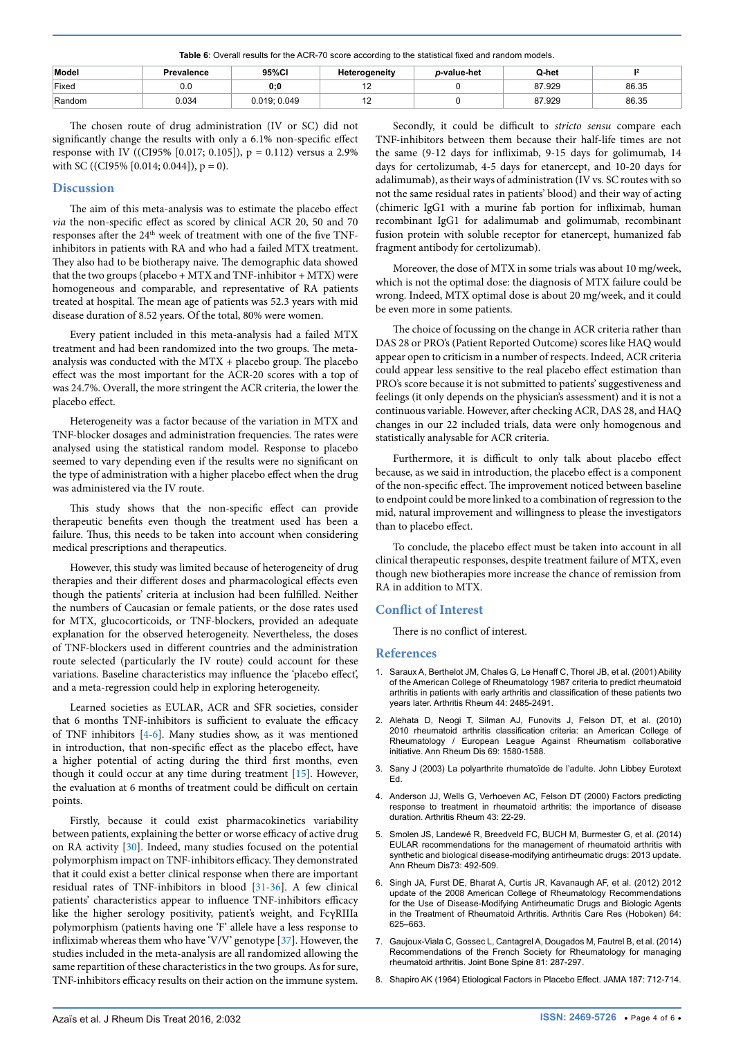<span id="page-3-8"></span>**Table 6**: Overall results for the ACR-70 score according to the statistical fixed and random models.

| Model  | Prevalence | 95%CI        | Heterogeneity | p-value-het | Q-het  |       |
|--------|------------|--------------|---------------|-------------|--------|-------|
| Fixed  | 0.0        | 0:0          |               |             | 87.929 | 86.35 |
| Random | 0.034      | 0.019; 0.049 |               |             | 87.929 | 86.35 |

The chosen route of drug administration (IV or SC) did not significantly change the results with only a 6.1% non-specific effect response with IV ((CI95% [0.017; 0.105]), p = 0.112) versus a 2.9% with SC ((CI95% [0.014; 0.044]),  $p = 0$ ).

#### **Discussion**

The aim of this meta-analysis was to estimate the placebo effect *via* the non-specific effect as scored by clinical ACR 20, 50 and 70 responses after the 24<sup>th</sup> week of treatment with one of the five TNFinhibitors in patients with RA and who had a failed MTX treatment. They also had to be biotherapy naive. The demographic data showed that the two groups (placebo + MTX and TNF-inhibitor + MTX) were homogeneous and comparable, and representative of RA patients treated at hospital. The mean age of patients was 52.3 years with mid disease duration of 8.52 years. Of the total, 80% were women.

Every patient included in this meta-analysis had a failed MTX treatment and had been randomized into the two groups. The metaanalysis was conducted with the MTX + placebo group. The placebo effect was the most important for the ACR-20 scores with a top of was 24.7%. Overall, the more stringent the ACR criteria, the lower the placebo effect.

Heterogeneity was a factor because of the variation in MTX and TNF-blocker dosages and administration frequencies. The rates were analysed using the statistical random model. Response to placebo seemed to vary depending even if the results were no significant on the type of administration with a higher placebo effect when the drug was administered via the IV route.

This study shows that the non-specific effect can provide therapeutic benefits even though the treatment used has been a failure. Thus, this needs to be taken into account when considering medical prescriptions and therapeutics.

However, this study was limited because of heterogeneity of drug therapies and their different doses and pharmacological effects even though the patients' criteria at inclusion had been fulfilled. Neither the numbers of Caucasian or female patients, or the dose rates used for MTX, glucocorticoids, or TNF-blockers, provided an adequate explanation for the observed heterogeneity. Nevertheless, the doses of TNF-blockers used in different countries and the administration route selected (particularly the IV route) could account for these variations. Baseline characteristics may influence the 'placebo effect', and a meta-regression could help in exploring heterogeneity.

Learned societies as EULAR, ACR and SFR societies, consider that 6 months TNF-inhibitors is sufficient to evaluate the efficacy of TNF inhibitors [\[4-](#page-3-3)[6](#page-3-5)]. Many studies show, as it was mentioned in introduction, that non-specific effect as the placebo effect, have a higher potential of acting during the third first months, even though it could occur at any time during treatment [[15](#page-4-3)]. However, the evaluation at 6 months of treatment could be difficult on certain points.

Firstly, because it could exist pharmacokinetics variability between patients, explaining the better or worse efficacy of active drug on RA activity [\[30](#page-4-16)]. Indeed, many studies focused on the potential polymorphism impact on TNF-inhibitors efficacy. They demonstrated that it could exist a better clinical response when there are important residual rates of TNF-inhibitors in blood [\[31](#page-4-17)[-36\]](#page-4-18). A few clinical patients' characteristics appear to influence TNF-inhibitors efficacy like the higher serology positivity, patient's weight, and FcγRIIIa polymorphism (patients having one 'F' allele have a less response to infliximab whereas them who have 'V/V' genotype [[37\]](#page-4-19). However, the studies included in the meta-analysis are all randomized allowing the same repartition of these characteristics in the two groups. As for sure, TNF-inhibitors efficacy results on their action on the immune system.

Secondly, it could be difficult to *stricto sensu* compare each TNF-inhibitors between them because their half-life times are not the same (9-12 days for infliximab, 9-15 days for golimumab, 14 days for certolizumab, 4-5 days for etanercept, and 10-20 days for adalimumab), as their ways of administration (IV vs. SC routes with so not the same residual rates in patients' blood) and their way of acting (chimeric IgG1 with a murine fab portion for infliximab, human recombinant IgG1 for adalimumab and golimumab, recombinant fusion protein with soluble receptor for etanercept, humanized fab fragment antibody for certolizumab).

Moreover, the dose of MTX in some trials was about 10 mg/week, which is not the optimal dose: the diagnosis of MTX failure could be wrong. Indeed, MTX optimal dose is about 20 mg/week, and it could be even more in some patients.

The choice of focussing on the change in ACR criteria rather than DAS 28 or PRO's (Patient Reported Outcome) scores like HAQ would appear open to criticism in a number of respects. Indeed, ACR criteria could appear less sensitive to the real placebo effect estimation than PRO's score because it is not submitted to patients' suggestiveness and feelings (it only depends on the physician's assessment) and it is not a continuous variable. However, after checking ACR, DAS 28, and HAQ changes in our 22 included trials, data were only homogenous and statistically analysable for ACR criteria.

Furthermore, it is difficult to only talk about placebo effect because, as we said in introduction, the placebo effect is a component of the non-specific effect. The improvement noticed between baseline to endpoint could be more linked to a combination of regression to the mid, natural improvement and willingness to please the investigators than to placebo effect.

To conclude, the placebo effect must be taken into account in all clinical therapeutic responses, despite treatment failure of MTX, even though new biotherapies more increase the chance of remission from RA in addition to MTX.

## **Conflict of Interest**

There is no conflict of interest.

#### <span id="page-3-0"></span>**References**

- 1. [Saraux A, Berthelot JM, Chales G, Le Henaff C, Thorel JB, et al. \(2001\) Ability](http://www.ncbi.nlm.nih.gov/pubmed/11710704)  [of the American College of Rheumatology 1987 criteria to predict rheumatoid](http://www.ncbi.nlm.nih.gov/pubmed/11710704)  [arthritis in patients with early arthritis and classification of these patients two](http://www.ncbi.nlm.nih.gov/pubmed/11710704)  [years later. Arthritis Rheum 44: 2485-2491.](http://www.ncbi.nlm.nih.gov/pubmed/11710704)
- <span id="page-3-1"></span>2. [Alehata D, Neogi T, Silman AJ, Funovits J, Felson DT, et al. \(2010\)](http://www.ncbi.nlm.nih.gov/pubmed/20699241)  [2010 rheumatoid arthritis classification criteria: an American College of](http://www.ncbi.nlm.nih.gov/pubmed/20699241)  [Rheumatology / European League Against Rheumatism collaborative](http://www.ncbi.nlm.nih.gov/pubmed/20699241)  [initiative. Ann Rheum Dis 69: 1580-1588.](http://www.ncbi.nlm.nih.gov/pubmed/20699241)
- <span id="page-3-2"></span>3. Sany J (2003) La polyarthrite rhumatoïde de l'adulte. John Libbey Eurotext Ed.
- <span id="page-3-3"></span>4. [Anderson JJ, Wells G, Verhoeven AC, Felson DT \(2000\) Factors predicting](http://www.ncbi.nlm.nih.gov/pubmed/10643696)  [response to treatment in rheumatoid arthritis: the importance of disease](http://www.ncbi.nlm.nih.gov/pubmed/10643696)  [duration. Arthritis Rheum 43: 22-29.](http://www.ncbi.nlm.nih.gov/pubmed/10643696)
- <span id="page-3-4"></span>5. [Smolen JS, Landewé R, Breedveld FC, BUCH M, Burmester G, et al. \(2014\)](http://www.ncbi.nlm.nih.gov/pmc/articles/PMC3933074/)  [EULAR recommendations for the management of rheumatoid arthritis with](http://www.ncbi.nlm.nih.gov/pmc/articles/PMC3933074/)  [synthetic and biological disease-modifying antirheumatic drugs: 2013 update.](http://www.ncbi.nlm.nih.gov/pmc/articles/PMC3933074/)  [Ann Rheum Dis73: 492-509.](http://www.ncbi.nlm.nih.gov/pmc/articles/PMC3933074/)
- <span id="page-3-5"></span>6. [Singh JA, Furst DE, Bharat A, Curtis JR, Kavanaugh AF, et al. \(2012\) 2012](http://www.ncbi.nlm.nih.gov/pubmed/22473917)  [update of the 2008 American College of Rheumatology Recommendations](http://www.ncbi.nlm.nih.gov/pubmed/22473917)  [for the Use of Disease-Modifying Antirheumatic Drugs and Biologic Agents](http://www.ncbi.nlm.nih.gov/pubmed/22473917)  [in the Treatment of Rheumatoid Arthritis. Arthritis Care Res \(Hoboken\) 64:](http://www.ncbi.nlm.nih.gov/pubmed/22473917)  [625–663.](http://www.ncbi.nlm.nih.gov/pubmed/22473917)
- <span id="page-3-6"></span>7. [Gaujoux-Viala C, Gossec L, Cantagrel A, Dougados M, Fautrel B, et al. \(2014\)](http://www.ncbi.nlm.nih.gov/pubmed/24986683)  [Recommendations of the French Society for Rheumatology for managing](http://www.ncbi.nlm.nih.gov/pubmed/24986683)  [rheumatoid arthritis. Joint Bone Spine 81: 287-297.](http://www.ncbi.nlm.nih.gov/pubmed/24986683)
- <span id="page-3-7"></span>8. [Shapiro AK \(1964\) Etiological Factors in Placebo Effect. JAMA 187: 712-714.](http://www.ncbi.nlm.nih.gov/pubmed/14094289)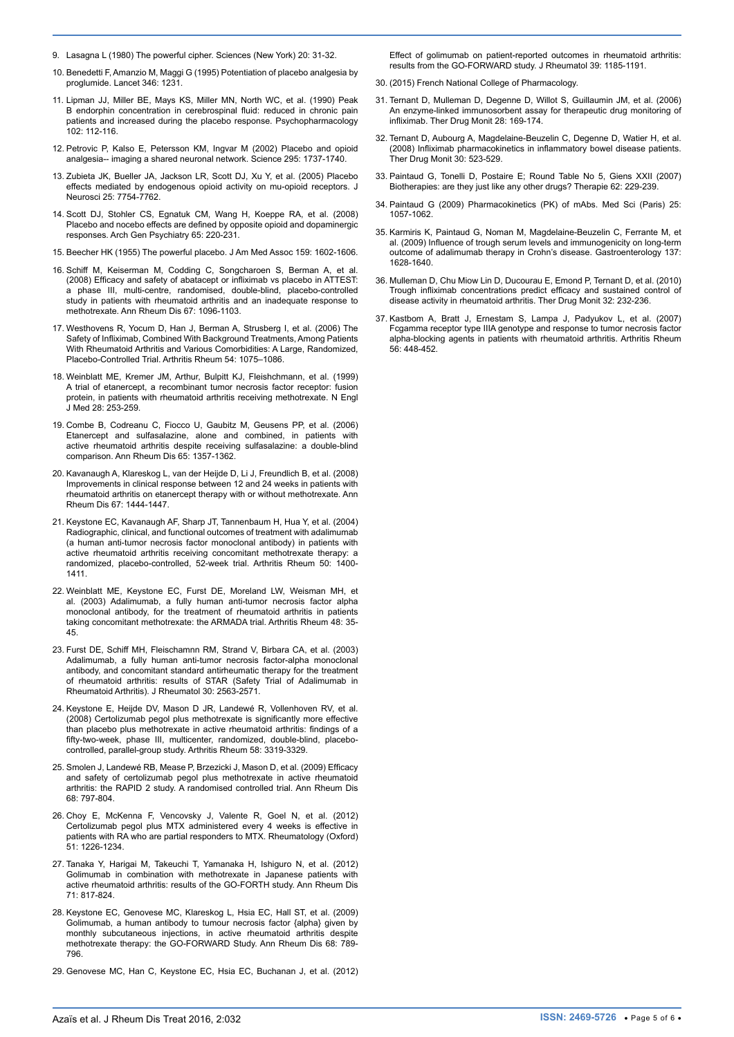- <span id="page-4-0"></span>9. [Lasagna L \(1980\) The powerful cipher. Sciences \(New York\) 20: 31-32.](http://www.ncbi.nlm.nih.gov/pubmed/11662731)
- <span id="page-4-1"></span>10. [Benedetti F, Amanzio M, Maggi G \(1995\) Potentiation of placebo analgesia by](http://www.ncbi.nlm.nih.gov/pubmed/7475687)  [proglumide. Lancet 346: 1231.](http://www.ncbi.nlm.nih.gov/pubmed/7475687)
- 11. [Lipman JJ, Miller BE, Mays KS, Miller MN, North WC, et al. \(1990\) Peak](http://link.springer.com/article/10.1007/BF02245754?no-access=true)  [B endorphin concentration in cerebrospinal fluid: reduced in chronic pain](http://link.springer.com/article/10.1007/BF02245754?no-access=true)  [patients and increased during the placebo response. Psychopharmacology](http://link.springer.com/article/10.1007/BF02245754?no-access=true)  [102: 112-116.](http://link.springer.com/article/10.1007/BF02245754?no-access=true)
- 12. [Petrovic P, Kalso E, Petersson KM, Ingvar M \(2002\) Placebo and opioid](http://www.ncbi.nlm.nih.gov/pubmed/11834781)  [analgesia-- imaging a shared neuronal network. Science 295: 1737-1740.](http://www.ncbi.nlm.nih.gov/pubmed/11834781)
- 13. [Zubieta JK, Bueller JA, Jackson LR, Scott DJ, Xu Y, et al. \(2005\) Placebo](http://www.ncbi.nlm.nih.gov/pubmed/16120776)  [effects mediated by endogenous opioid activity on mu-opioid receptors. J](http://www.ncbi.nlm.nih.gov/pubmed/16120776)  [Neurosci 25: 7754-7762.](http://www.ncbi.nlm.nih.gov/pubmed/16120776)
- <span id="page-4-2"></span>14. [Scott DJ, Stohler CS, Egnatuk CM, Wang H, Koeppe RA, et al. \(2008\)](http://www.ncbi.nlm.nih.gov/pubmed/18250260)  Placebo and nocebo effects are defined by opposite opioid and dopaminergic [responses. Arch Gen Psychiatry 65: 220-231.](http://www.ncbi.nlm.nih.gov/pubmed/18250260)
- <span id="page-4-3"></span>15. [Beecher HK \(1955\) The powerful placebo. J Am Med Assoc 159: 1602-1606.](http://www.ncbi.nlm.nih.gov/pubmed/13271123)
- <span id="page-4-4"></span>16. [Schiff M, Keiserman M, Codding C, Songcharoen S, Berman A, et al.](http://www.ncbi.nlm.nih.gov/pubmed/18055472)  [\(2008\) Efficacy and safety of abatacept or infliximab vs placebo in ATTEST:](http://www.ncbi.nlm.nih.gov/pubmed/18055472)  [a phase III, multi-centre, randomised, double-blind, placebo-controlled](http://www.ncbi.nlm.nih.gov/pubmed/18055472)  [study in patients with rheumatoid arthritis and an inadequate response to](http://www.ncbi.nlm.nih.gov/pubmed/18055472)  [methotrexate. Ann Rheum Dis 67: 1096-1103.](http://www.ncbi.nlm.nih.gov/pubmed/18055472)
- <span id="page-4-5"></span>17. [Westhovens R, Yocum D, Han J, Berman A, Strusberg I, et al. \(2006\) The](http://www.ncbi.nlm.nih.gov/pubmed/16572442)  [Safety of Infliximab, Combined With Background Treatments, Among Patients](http://www.ncbi.nlm.nih.gov/pubmed/16572442)  [With Rheumatoid Arthritis and Various Comorbidities: A Large, Randomized,](http://www.ncbi.nlm.nih.gov/pubmed/16572442)  [Placebo-Controlled Trial. Arthritis Rheum 54: 1075–1086.](http://www.ncbi.nlm.nih.gov/pubmed/16572442)
- <span id="page-4-6"></span>18. [Weinblatt ME, Kremer JM, Arthur, Bulpitt KJ, Fleishchmann, et al. \(1999\)](http://www.ncbi.nlm.nih.gov/pubmed/9920948)  [A trial of etanercept, a recombinant tumor necrosis factor receptor: fusion](http://www.ncbi.nlm.nih.gov/pubmed/9920948)  [protein, in patients with rheumatoid arthritis receiving methotrexate. N Engl](http://www.ncbi.nlm.nih.gov/pubmed/9920948)  [J Med 28: 253-259.](http://www.ncbi.nlm.nih.gov/pubmed/9920948)
- 19. [Combe B, Codreanu C, Fiocco U, Gaubitz M, Geusens PP, et al. \(2006\)](http://www.ncbi.nlm.nih.gov/pmc/articles/PMC1798315/)  [Etanercept and sulfasalazine, alone and combined, in patients with](http://www.ncbi.nlm.nih.gov/pmc/articles/PMC1798315/)  [active rheumatoid arthritis despite receiving sulfasalazine: a double-blind](http://www.ncbi.nlm.nih.gov/pmc/articles/PMC1798315/)  [comparison. Ann Rheum Dis 65: 1357-1362.](http://www.ncbi.nlm.nih.gov/pmc/articles/PMC1798315/)
- <span id="page-4-7"></span>20. [Kavanaugh A, Klareskog L, van der Heijde D, Li J, Freundlich B, et al. \(2008\)](http://www.ncbi.nlm.nih.gov/pubmed/18535115)  [Improvements in clinical response between 12 and 24 weeks in patients with](http://www.ncbi.nlm.nih.gov/pubmed/18535115)  [rheumatoid arthritis on etanercept therapy with or without methotrexate. Ann](http://www.ncbi.nlm.nih.gov/pubmed/18535115)  [Rheum Dis 67: 1444-1447.](http://www.ncbi.nlm.nih.gov/pubmed/18535115)
- <span id="page-4-8"></span>21. [Keystone EC, Kavanaugh AF, Sharp JT, Tannenbaum H, Hua Y, et al. \(2004\)](http://www.ncbi.nlm.nih.gov/pubmed/15146409)  [Radiographic, clinical, and functional outcomes of treatment with adalimumab](http://www.ncbi.nlm.nih.gov/pubmed/15146409)  [\(a human anti-tumor necrosis factor monoclonal antibody\) in patients with](http://www.ncbi.nlm.nih.gov/pubmed/15146409)  [active rheumatoid arthritis receiving concomitant methotrexate therapy: a](http://www.ncbi.nlm.nih.gov/pubmed/15146409)  [randomized, placebo-controlled, 52-week trial. Arthritis Rheum 50: 1400-](http://www.ncbi.nlm.nih.gov/pubmed/15146409) [1411.](http://www.ncbi.nlm.nih.gov/pubmed/15146409)
- 22. [Weinblatt ME, Keystone EC, Furst DE, Moreland LW, Weisman MH, et](http://www.ncbi.nlm.nih.gov/pubmed/12528101)  [al. \(2003\) Adalimumab, a fully human anti-tumor necrosis factor alpha](http://www.ncbi.nlm.nih.gov/pubmed/12528101)  [monoclonal antibody, for the treatment of rheumatoid arthritis in patients](http://www.ncbi.nlm.nih.gov/pubmed/12528101)  [taking concomitant methotrexate: the ARMADA trial. Arthritis Rheum 48: 35-](http://www.ncbi.nlm.nih.gov/pubmed/12528101) [45.](http://www.ncbi.nlm.nih.gov/pubmed/12528101)
- <span id="page-4-9"></span>23. [Furst DE, Schiff MH, Fleischamnn RM, Strand V, Birbara CA, et al. \(2003\)](http://www.ncbi.nlm.nih.gov/pubmed/14719195)  [Adalimumab, a fully human anti-tumor necrosis factor-alpha monoclonal](http://www.ncbi.nlm.nih.gov/pubmed/14719195)  [antibody, and concomitant standard antirheumatic therapy for the treatment](http://www.ncbi.nlm.nih.gov/pubmed/14719195)  [of rheumatoid arthritis: results of STAR \(Safety Trial of Adalimumab in](http://www.ncbi.nlm.nih.gov/pubmed/14719195)  [Rheumatoid Arthritis\). J Rheumatol 30: 2563-2571.](http://www.ncbi.nlm.nih.gov/pubmed/14719195)
- <span id="page-4-10"></span>24. [Keystone E, Heijde DV, Mason D JR, Landewé R, Vollenhoven RV, et al.](http://www.ncbi.nlm.nih.gov/pubmed/18975346)  [\(2008\) Certolizumab pegol plus methotrexate is significantly more effective](http://www.ncbi.nlm.nih.gov/pubmed/18975346)  [than placebo plus methotrexate in active rheumatoid arthritis: findings of a](http://www.ncbi.nlm.nih.gov/pubmed/18975346)  [fifty-two-week, phase III, multicenter, randomized, double-blind, placebo](http://www.ncbi.nlm.nih.gov/pubmed/18975346)[controlled, parallel-group study. Arthritis Rheum 58: 3319-3329.](http://www.ncbi.nlm.nih.gov/pubmed/18975346)
- <span id="page-4-14"></span>25. [Smolen J, Landewé RB, Mease P, Brzezicki J, Mason D, et al. \(2009\) Efficacy](http://www.ncbi.nlm.nih.gov/pubmed/19015207)  [and safety of certolizumab pegol plus methotrexate in active rheumatoid](http://www.ncbi.nlm.nih.gov/pubmed/19015207)  [arthritis: the RAPID 2 study. A randomised controlled trial. Ann Rheum Dis](http://www.ncbi.nlm.nih.gov/pubmed/19015207)  [68: 797-804.](http://www.ncbi.nlm.nih.gov/pubmed/19015207)
- <span id="page-4-11"></span>26. [Choy E, McKenna F, Vencovsky J, Valente R, Goel N, et al. \(2012\)](http://www.ncbi.nlm.nih.gov/pubmed/22344576)  [Certolizumab pegol plus MTX administered every 4 weeks is effective in](http://www.ncbi.nlm.nih.gov/pubmed/22344576)  [patients with RA who are partial responders to MTX. Rheumatology \(Oxford\)](http://www.ncbi.nlm.nih.gov/pubmed/22344576)  [51: 1226-1234.](http://www.ncbi.nlm.nih.gov/pubmed/22344576)
- <span id="page-4-12"></span>27. [Tanaka Y, Harigai M, Takeuchi T, Yamanaka H, Ishiguro N, et al. \(2012\)](http://www.ncbi.nlm.nih.gov/pubmed/22121129)  [Golimumab in combination with methotrexate in Japanese patients with](http://www.ncbi.nlm.nih.gov/pubmed/22121129)  [active rheumatoid arthritis: results of the GO-FORTH study. Ann Rheum Dis](http://www.ncbi.nlm.nih.gov/pubmed/22121129)  [71: 817-824.](http://www.ncbi.nlm.nih.gov/pubmed/22121129)
- <span id="page-4-13"></span>28. [Keystone EC, Genovese MC, Klareskog L, Hsia EC, Hall ST, et al. \(2009\)](http://www.ncbi.nlm.nih.gov/pubmed/19066176)  [Golimumab, a human antibody to tumour necrosis factor {alpha} given by](http://www.ncbi.nlm.nih.gov/pubmed/19066176)  [monthly subcutaneous injections, in active rheumatoid arthritis despite](http://www.ncbi.nlm.nih.gov/pubmed/19066176)  [methotrexate therapy: the GO-FORWARD Study. Ann Rheum Dis 68: 789-](http://www.ncbi.nlm.nih.gov/pubmed/19066176) [796.](http://www.ncbi.nlm.nih.gov/pubmed/19066176)
- <span id="page-4-15"></span>29. [Genovese MC, Han C, Keystone EC, Hsia EC, Buchanan J, et al. \(2012\)](http://www.ncbi.nlm.nih.gov/pubmed/22505702)

[Effect of golimumab on patient-reported outcomes in rheumatoid arthritis:](http://www.ncbi.nlm.nih.gov/pubmed/22505702)  [results from the GO-FORWARD study. J Rheumatol 39: 1185-1191.](http://www.ncbi.nlm.nih.gov/pubmed/22505702)

- <span id="page-4-16"></span>30. (2015) French National College of Pharmacology.
- <span id="page-4-17"></span>31. [Ternant D, Mulleman D, Degenne D, Willot S, Guillaumin JM, et al. \(2006\)](http://www.ncbi.nlm.nih.gov/pubmed/16628126)  [An enzyme-linked immunosorbent assay for therapeutic drug monitoring of](http://www.ncbi.nlm.nih.gov/pubmed/16628126)  [infliximab. Ther Drug Monit 28: 169-174.](http://www.ncbi.nlm.nih.gov/pubmed/16628126)
- 32. [Ternant D, Aubourg A, Magdelaine-Beuzelin C, Degenne D, Watier H, et al.](http://www.ncbi.nlm.nih.gov/pubmed/18641542)  [\(2008\) Infliximab pharmacokinetics in inflammatory bowel disease patients.](http://www.ncbi.nlm.nih.gov/pubmed/18641542)  [Ther Drug Monit 30: 523-529.](http://www.ncbi.nlm.nih.gov/pubmed/18641542)
- 33. [Paintaud G, Tonelli D, Postaire E; Round Table No 5, Giens XXII \(2007\)](http://www.ncbi.nlm.nih.gov/pubmed/17803891)  [Biotherapies: are they just like any other drugs? Therapie 62: 229-239.](http://www.ncbi.nlm.nih.gov/pubmed/17803891)
- 34. [Paintaud G \(2009\) Pharmacokinetics \(PK\) of mAbs. Med Sci \(Paris\) 25:](http://www.ncbi.nlm.nih.gov/pubmed/20035679)  [1057-1062.](http://www.ncbi.nlm.nih.gov/pubmed/20035679)
- 35. [Karmiris K, Paintaud G, Noman M, Magdelaine-Beuzelin C, Ferrante M, et](http://www.ncbi.nlm.nih.gov/pubmed/19664627)  [al. \(2009\) Influence of trough serum levels and immunogenicity on long-term](http://www.ncbi.nlm.nih.gov/pubmed/19664627)  [outcome of adalimumab therapy in Crohn's disease. Gastroenterology 137:](http://www.ncbi.nlm.nih.gov/pubmed/19664627)  [1628-1640.](http://www.ncbi.nlm.nih.gov/pubmed/19664627)
- <span id="page-4-18"></span>36. [Mulleman D, Chu Miow Lin D, Ducourau E, Emond P, Ternant D, et al. \(2010\)](http://www.ncbi.nlm.nih.gov/pubmed/20216124)  [Trough infliximab concentrations predict efficacy and sustained control of](http://www.ncbi.nlm.nih.gov/pubmed/20216124)  [disease activity in rheumatoid arthritis. Ther Drug Monit 32: 232-236.](http://www.ncbi.nlm.nih.gov/pubmed/20216124)
- <span id="page-4-19"></span>37. [Kastbom A, Bratt J, Ernestam S, Lampa J, Padyukov L, et al. \(2007\)](http://www.ncbi.nlm.nih.gov/pubmed/17265480)  [Fcgamma receptor type IIIA genotype and response to tumor necrosis factor](http://www.ncbi.nlm.nih.gov/pubmed/17265480)  [alpha-blocking agents in patients with rheumatoid arthritis. Arthritis Rheum](http://www.ncbi.nlm.nih.gov/pubmed/17265480)  [56: 448-452.](http://www.ncbi.nlm.nih.gov/pubmed/17265480)